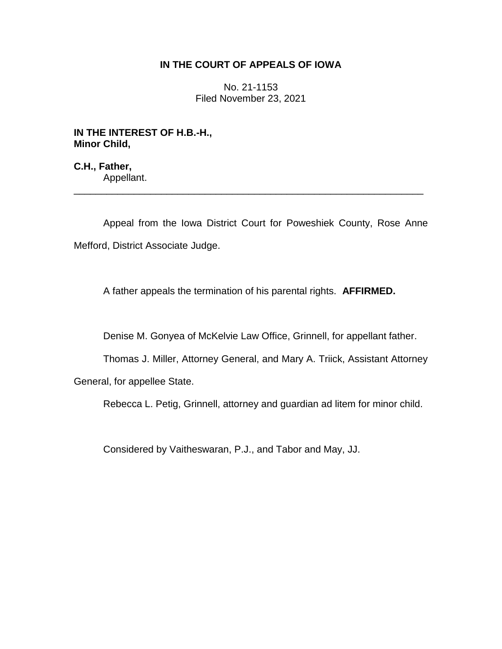## **IN THE COURT OF APPEALS OF IOWA**

No. 21-1153 Filed November 23, 2021

**IN THE INTEREST OF H.B.-H., Minor Child,**

**C.H., Father,** Appellant.

Appeal from the Iowa District Court for Poweshiek County, Rose Anne Mefford, District Associate Judge.

\_\_\_\_\_\_\_\_\_\_\_\_\_\_\_\_\_\_\_\_\_\_\_\_\_\_\_\_\_\_\_\_\_\_\_\_\_\_\_\_\_\_\_\_\_\_\_\_\_\_\_\_\_\_\_\_\_\_\_\_\_\_\_\_

A father appeals the termination of his parental rights. **AFFIRMED.**

Denise M. Gonyea of McKelvie Law Office, Grinnell, for appellant father.

Thomas J. Miller, Attorney General, and Mary A. Triick, Assistant Attorney

General, for appellee State.

Rebecca L. Petig, Grinnell, attorney and guardian ad litem for minor child.

Considered by Vaitheswaran, P.J., and Tabor and May, JJ.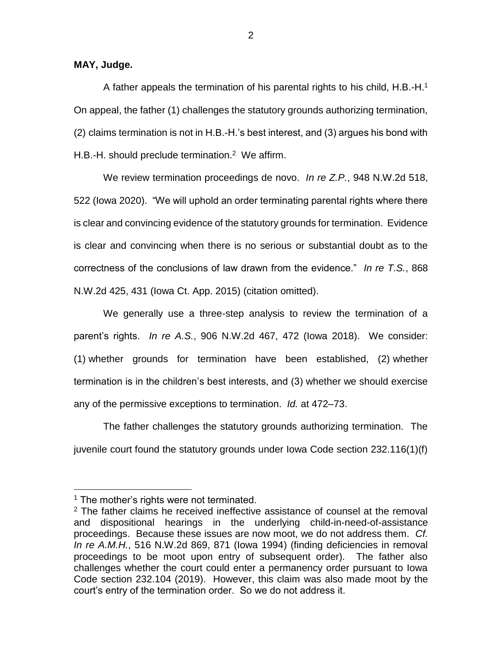**MAY, Judge.**

A father appeals the termination of his parental rights to his child, H.B.-H.<sup>1</sup> On appeal, the father (1) challenges the statutory grounds authorizing termination, (2) claims termination is not in H.B.-H.'s best interest, and (3) argues his bond with H.B.-H. should preclude termination.<sup>2</sup> We affirm.

We review termination proceedings de novo. *In re Z.P.*, 948 N.W.2d 518, 522 (Iowa 2020). "We will uphold an order terminating parental rights where there is clear and convincing evidence of the statutory grounds for termination. Evidence is clear and convincing when there is no serious or substantial doubt as to the correctness of the conclusions of law drawn from the evidence." *In re T.S.*, 868 N.W.2d 425, 431 (Iowa Ct. App. 2015) (citation omitted).

We generally use a three-step analysis to review the termination of a parent's rights. *In re A.S.*, 906 N.W.2d 467, 472 (Iowa 2018). We consider: (1) whether grounds for termination have been established, (2) whether termination is in the children's best interests, and (3) whether we should exercise any of the permissive exceptions to termination. *Id.* at 472–73.

The father challenges the statutory grounds authorizing termination. The juvenile court found the statutory grounds under Iowa Code section 232.116(1)(f)

 $\overline{a}$ 

 $1$  The mother's rights were not terminated.

 $2$  The father claims he received ineffective assistance of counsel at the removal and dispositional hearings in the underlying child-in-need-of-assistance proceedings. Because these issues are now moot, we do not address them. *Cf. In re A.M.H.*, 516 N.W.2d 869, 871 (Iowa 1994) (finding deficiencies in removal proceedings to be moot upon entry of subsequent order). The father also challenges whether the court could enter a permanency order pursuant to Iowa Code section 232.104 (2019). However, this claim was also made moot by the court's entry of the termination order. So we do not address it.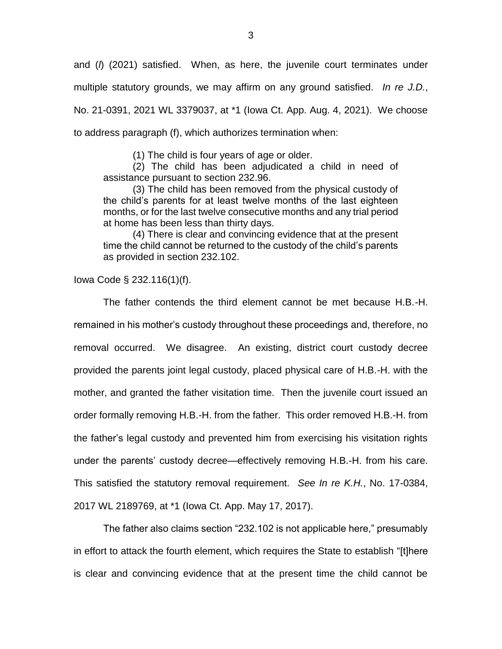and (*l*) (2021) satisfied. When, as here, the juvenile court terminates under multiple statutory grounds, we may affirm on any ground satisfied. *In re J.D.*, No. 21-0391, 2021 WL 3379037, at \*1 (Iowa Ct. App. Aug. 4, 2021). We choose to address paragraph (f), which authorizes termination when:

(1) The child is four years of age or older.

(2) The child has been adjudicated a child in need of assistance pursuant to section 232.96.

(3) The child has been removed from the physical custody of the child's parents for at least twelve months of the last eighteen months, or for the last twelve consecutive months and any trial period at home has been less than thirty days.

(4) There is clear and convincing evidence that at the present time the child cannot be returned to the custody of the child's parents as provided in section 232.102.

Iowa Code § 232.116(1)(f).

The father contends the third element cannot be met because H.B.-H. remained in his mother's custody throughout these proceedings and, therefore, no removal occurred. We disagree. An existing, district court custody decree provided the parents joint legal custody, placed physical care of H.B.-H. with the mother, and granted the father visitation time. Then the juvenile court issued an order formally removing H.B.-H. from the father. This order removed H.B.-H. from the father's legal custody and prevented him from exercising his visitation rights under the parents' custody decree—effectively removing H.B.-H. from his care. This satisfied the statutory removal requirement. *See In re K.H.*, No. 17-0384, 2017 WL 2189769, at \*1 (Iowa Ct. App. May 17, 2017).

The father also claims section "232.102 is not applicable here," presumably in effort to attack the fourth element, which requires the State to establish "[t]here is clear and convincing evidence that at the present time the child cannot be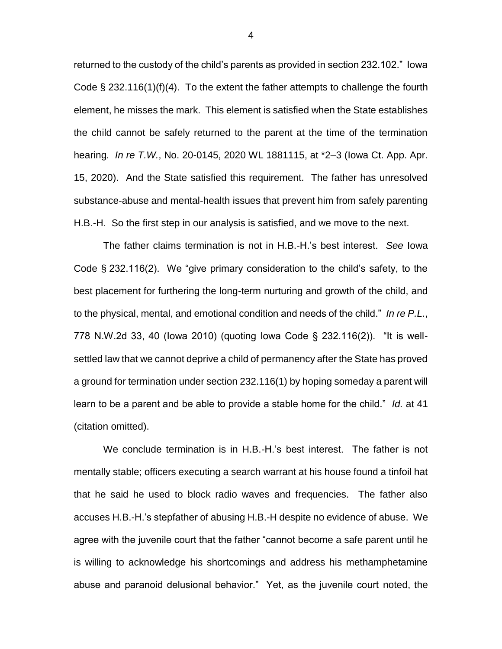returned to the custody of the child's parents as provided in section 232.102." Iowa Code  $\S 232.116(1)(f)(4)$ . To the extent the father attempts to challenge the fourth element, he misses the mark. This element is satisfied when the State establishes the child cannot be safely returned to the parent at the time of the termination hearing*. In re T.W.*, No. 20-0145, 2020 WL 1881115, at \*2–3 (Iowa Ct. App. Apr. 15, 2020). And the State satisfied this requirement. The father has unresolved substance-abuse and mental-health issues that prevent him from safely parenting H.B.-H. So the first step in our analysis is satisfied, and we move to the next.

The father claims termination is not in H.B.-H.'s best interest. *See* Iowa Code § 232.116(2). We "give primary consideration to the child's safety, to the best placement for furthering the long-term nurturing and growth of the child, and to the physical, mental, and emotional condition and needs of the child." *In re P.L.*, 778 N.W.2d 33, 40 (Iowa 2010) (quoting Iowa Code § 232.116(2)). "It is wellsettled law that we cannot deprive a child of permanency after the State has proved a ground for termination under section 232.116(1) by hoping someday a parent will learn to be a parent and be able to provide a stable home for the child." *Id.* at 41 (citation omitted).

We conclude termination is in H.B.-H.'s best interest. The father is not mentally stable; officers executing a search warrant at his house found a tinfoil hat that he said he used to block radio waves and frequencies. The father also accuses H.B.-H.'s stepfather of abusing H.B.-H despite no evidence of abuse. We agree with the juvenile court that the father "cannot become a safe parent until he is willing to acknowledge his shortcomings and address his methamphetamine abuse and paranoid delusional behavior." Yet, as the juvenile court noted, the

4